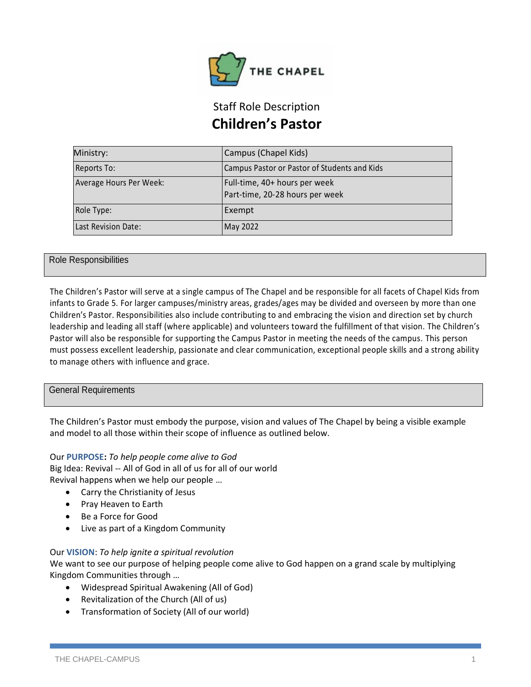

# Staff Role Description **Children's Pastor**

| Ministry:               | Campus (Chapel Kids)                                             |
|-------------------------|------------------------------------------------------------------|
| Reports To:             | Campus Pastor or Pastor of Students and Kids                     |
| Average Hours Per Week: | Full-time, 40+ hours per week<br>Part-time, 20-28 hours per week |
| Role Type:              | Exempt                                                           |
| Last Revision Date:     | May 2022                                                         |

## Role Responsibilities

The Children's Pastor will serve at a single campus of The Chapel and be responsible for all facets of Chapel Kids from infants to Grade 5. For larger campuses/ministry areas, grades/ages may be divided and overseen by more than one Children's Pastor. Responsibilities also include contributing to and embracing the vision and direction set by church leadership and leading all staff (where applicable) and volunteers toward the fulfillment of that vision. The Children's Pastor will also be responsible for supporting the Campus Pastor in meeting the needs of the campus. This person must possess excellent leadership, passionate and clear communication, exceptional people skills and a strong ability to manage others with influence and grace.

### General Requirements

The Children's Pastor must embody the purpose, vision and values of The Chapel by being a visible example and model to all those within their scope of influence as outlined below.

### Our **PURPOSE:** *To help people come alive to God*

Big Idea: Revival -- All of God in all of us for all of our world Revival happens when we help our people …

- Carry the Christianity of Jesus
- Pray Heaven to Earth
- Be a Force for Good
- Live as part of a Kingdom Community

### Our **VISION**: *To help ignite a spiritual revolution*

We want to see our purpose of helping people come alive to God happen on a grand scale by multiplying Kingdom Communities through …

- Widespread Spiritual Awakening (All of God)
- Revitalization of the Church (All of us)
- Transformation of Society (All of our world)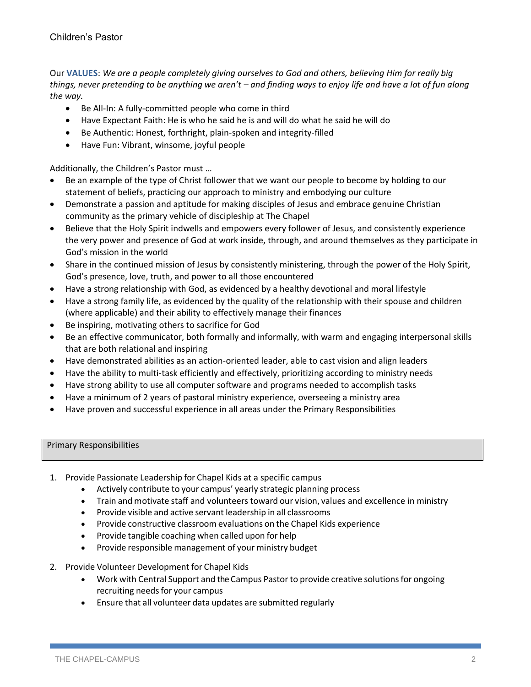Our **VALUES**: *We are a people completely giving ourselves to God and others, believing Him for really big things, never pretending to be anything we aren't – and finding ways to enjoy life and have a lot of fun along the way.*

- Be All-In: A fully-committed people who come in third
- Have Expectant Faith: He is who he said he is and will do what he said he will do
- Be Authentic: Honest, forthright, plain-spoken and integrity-filled
- Have Fun: Vibrant, winsome, joyful people

Additionally, the Children's Pastor must …

- Be an example of the type of Christ follower that we want our people to become by holding to our statement of beliefs, practicing our approach to ministry and embodying our culture
- Demonstrate a passion and aptitude for making disciples of Jesus and embrace genuine Christian community as the primary vehicle of discipleship at The Chapel
- Believe that the Holy Spirit indwells and empowers every follower of Jesus, and consistently experience the very power and presence of God at work inside, through, and around themselves as they participate in God's mission in the world
- Share in the continued mission of Jesus by consistently ministering, through the power of the Holy Spirit, God's presence, love, truth, and power to all those encountered
- Have a strong relationship with God, as evidenced by a healthy devotional and moral lifestyle
- Have a strong family life, as evidenced by the quality of the relationship with their spouse and children (where applicable) and their ability to effectively manage their finances
- Be inspiring, motivating others to sacrifice for God
- Be an effective communicator, both formally and informally, with warm and engaging interpersonal skills that are both relational and inspiring
- Have demonstrated abilities as an action-oriented leader, able to cast vision and align leaders
- Have the ability to multi-task efficiently and effectively, prioritizing according to ministry needs
- Have strong ability to use all computer software and programs needed to accomplish tasks
- Have a minimum of 2 years of pastoral ministry experience, overseeing a ministry area
- Have proven and successful experience in all areas under the Primary Responsibilities

### Primary Responsibilities

- 1. Provide Passionate Leadership for Chapel Kids at a specific campus
	- Actively contribute to your campus' yearly strategic planning process
	- Train and motivate staff and volunteers toward our vision, values and excellence in ministry
	- Provide visible and active servant leadership in all classrooms
	- Provide constructive classroom evaluations on the Chapel Kids experience
	- Provide tangible coaching when called upon for help
	- Provide responsible management of your ministry budget
- 2. Provide Volunteer Development for Chapel Kids
	- Work with Central Support and the Campus Pastor to provide creative solutions for ongoing recruiting needs for your campus
	- Ensure that all volunteer data updates are submitted regularly